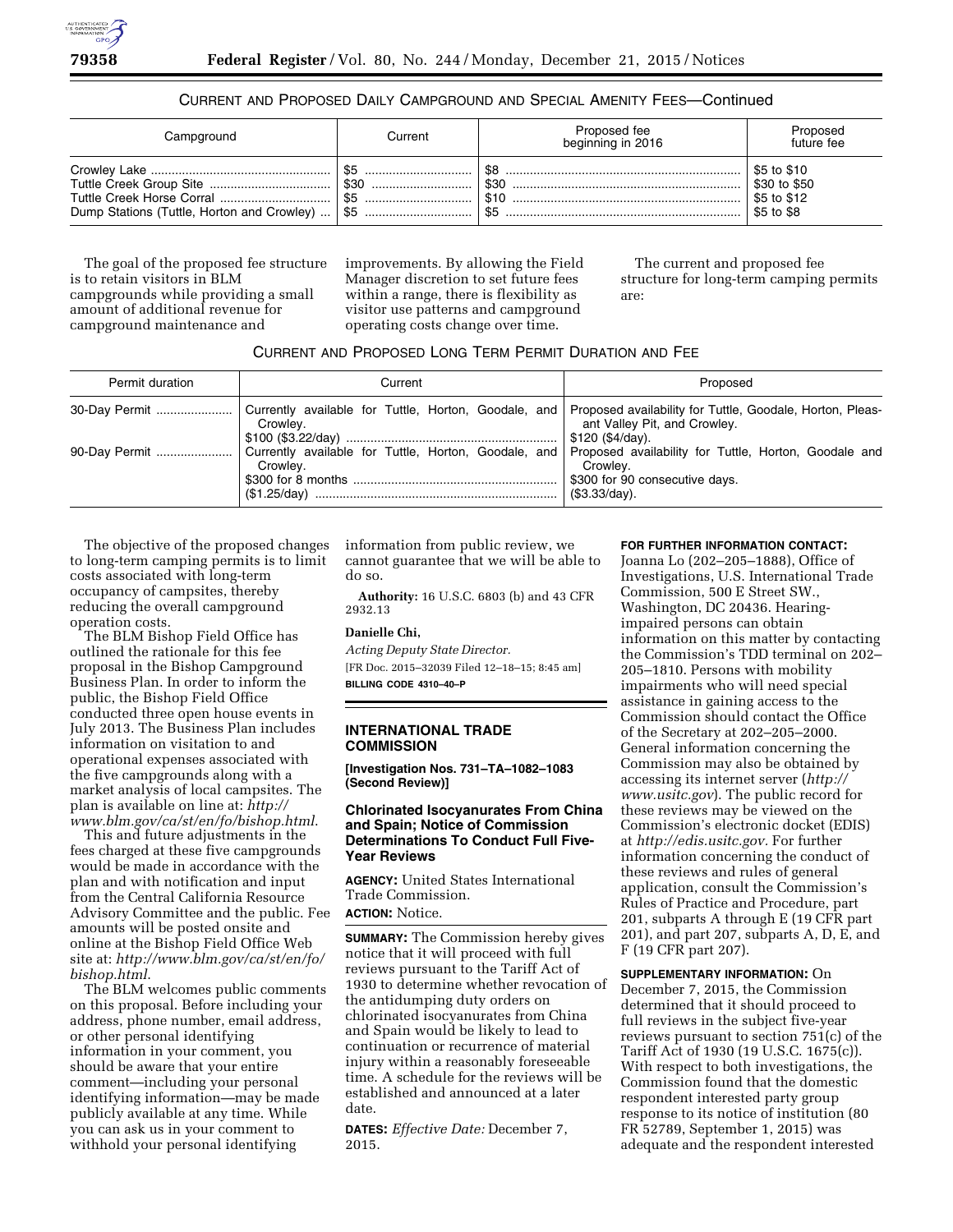

## CURRENT AND PROPOSED DAILY CAMPGROUND AND SPECIAL AMENITY FEES—Continued

| Campground                                 | Current                      | Proposed fee<br>beginning in 2016 | Proposed<br>future fee                                   |
|--------------------------------------------|------------------------------|-----------------------------------|----------------------------------------------------------|
| Dump Stations (Tuttle, Horton and Crowley) | -\$5<br>\$30<br>\$5<br>l \$5 | \$30<br>\$5                       | \$5 to \$10<br>\$30 to \$50<br>\$5 to \$12<br>\$5 to \$8 |

The goal of the proposed fee structure is to retain visitors in BLM campgrounds while providing a small amount of additional revenue for campground maintenance and

improvements. By allowing the Field Manager discretion to set future fees within a range, there is flexibility as visitor use patterns and campground operating costs change over time.

The current and proposed fee structure for long-term camping permits are:

## CURRENT AND PROPOSED LONG TERM PERMIT DURATION AND FEE

| Permit duration | Current                                                                                                                      | Proposed                                                      |  |
|-----------------|------------------------------------------------------------------------------------------------------------------------------|---------------------------------------------------------------|--|
| 30-Day Permit   | Currently available for Tuttle, Horton, Goodale, and   Proposed availability for Tuttle, Goodale, Horton, Pleas-<br>Crowlev. | ant Valley Pit, and Crowley.<br>\$120 (\$4/day).              |  |
| 90-Dav Permit   | Currently available for Tuttle, Horton, Goodale, and Proposed availability for Tuttle, Horton, Goodale and<br>Crowlev.       | Crowlev.<br>\$300 for 90 consecutive days.<br>  (\$3.33/dav). |  |

The objective of the proposed changes to long-term camping permits is to limit costs associated with long-term occupancy of campsites, thereby reducing the overall campground operation costs.

The BLM Bishop Field Office has outlined the rationale for this fee proposal in the Bishop Campground Business Plan. In order to inform the public, the Bishop Field Office conducted three open house events in July 2013. The Business Plan includes information on visitation to and operational expenses associated with the five campgrounds along with a market analysis of local campsites. The plan is available on line at: *[http://](http://www.blm.gov/ca/st/en/fo/bishop.html) [www.blm.gov/ca/st/en/fo/bishop.html](http://www.blm.gov/ca/st/en/fo/bishop.html)*.

This and future adjustments in the fees charged at these five campgrounds would be made in accordance with the plan and with notification and input from the Central California Resource Advisory Committee and the public. Fee amounts will be posted onsite and online at the Bishop Field Office Web site at: *[http://www.blm.gov/ca/st/en/fo/](http://www.blm.gov/ca/st/en/fo/bishop.html) [bishop.html](http://www.blm.gov/ca/st/en/fo/bishop.html)*.

The BLM welcomes public comments on this proposal. Before including your address, phone number, email address, or other personal identifying information in your comment, you should be aware that your entire comment—including your personal identifying information—may be made publicly available at any time. While you can ask us in your comment to withhold your personal identifying

information from public review, we cannot guarantee that we will be able to do so.

**Authority:** 16 U.S.C. 6803 (b) and 43 CFR 2932.13

## **Danielle Chi,**

*Acting Deputy State Director.*  [FR Doc. 2015–32039 Filed 12–18–15; 8:45 am] **BILLING CODE 4310–40–P** 

# **INTERNATIONAL TRADE COMMISSION**

**[Investigation Nos. 731–TA–1082–1083 (Second Review)]** 

## **Chlorinated Isocyanurates From China and Spain; Notice of Commission Determinations To Conduct Full Five-Year Reviews**

**AGENCY:** United States International Trade Commission. **ACTION:** Notice.

**SUMMARY:** The Commission hereby gives notice that it will proceed with full reviews pursuant to the Tariff Act of 1930 to determine whether revocation of the antidumping duty orders on chlorinated isocyanurates from China and Spain would be likely to lead to continuation or recurrence of material injury within a reasonably foreseeable time. A schedule for the reviews will be established and announced at a later date.

**DATES:** *Effective Date:* December 7, 2015.

#### **FOR FURTHER INFORMATION CONTACT:**

Joanna Lo (202–205–1888), Office of Investigations, U.S. International Trade Commission, 500 E Street SW., Washington, DC 20436. Hearingimpaired persons can obtain information on this matter by contacting the Commission's TDD terminal on 202– 205–1810. Persons with mobility impairments who will need special assistance in gaining access to the Commission should contact the Office of the Secretary at 202–205–2000. General information concerning the Commission may also be obtained by accessing its internet server (*[http://](http://www.usitc.gov) [www.usitc.gov](http://www.usitc.gov)*). The public record for these reviews may be viewed on the Commission's electronic docket (EDIS) at *[http://edis.usitc.gov.](http://edis.usitc.gov)* For further information concerning the conduct of these reviews and rules of general application, consult the Commission's Rules of Practice and Procedure, part 201, subparts A through E (19 CFR part 201), and part 207, subparts A, D, E, and F (19 CFR part 207).

### **SUPPLEMENTARY INFORMATION:** On

December 7, 2015, the Commission determined that it should proceed to full reviews in the subject five-year reviews pursuant to section 751(c) of the Tariff Act of 1930 (19 U.S.C. 1675(c)). With respect to both investigations, the Commission found that the domestic respondent interested party group response to its notice of institution (80 FR 52789, September 1, 2015) was adequate and the respondent interested